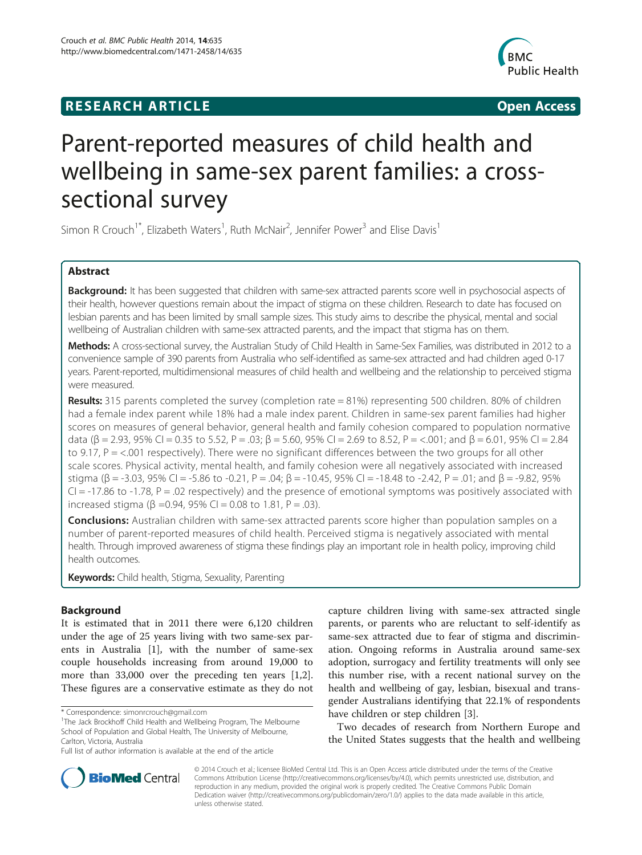# **RESEARCH ARTICLE Example 2014 12:30 The SEAR CHIPS 2014 12:30 The Open Access**



# Parent-reported measures of child health and wellbeing in same-sex parent families: a crosssectional survey

Simon R Crouch<sup>1\*</sup>, Elizabeth Waters<sup>1</sup>, Ruth McNair<sup>2</sup>, Jennifer Power<sup>3</sup> and Elise Davis<sup>1</sup>

# Abstract

Background: It has been suggested that children with same-sex attracted parents score well in psychosocial aspects of their health, however questions remain about the impact of stigma on these children. Research to date has focused on lesbian parents and has been limited by small sample sizes. This study aims to describe the physical, mental and social wellbeing of Australian children with same-sex attracted parents, and the impact that stigma has on them.

Methods: A cross-sectional survey, the Australian Study of Child Health in Same-Sex Families, was distributed in 2012 to a convenience sample of 390 parents from Australia who self-identified as same-sex attracted and had children aged 0-17 years. Parent-reported, multidimensional measures of child health and wellbeing and the relationship to perceived stigma were measured.

**Results:** 315 parents completed the survey (completion rate  $= 81\%$ ) representing 500 children. 80% of children had a female index parent while 18% had a male index parent. Children in same-sex parent families had higher scores on measures of general behavior, general health and family cohesion compared to population normative data (β = 2.93, 95% CI = 0.35 to 5.52, P = .03; β = 5.60, 95% CI = 2.69 to 8.52, P = <.001; and β = 6.01, 95% CI = 2.84 to 9.17, P = <.001 respectively). There were no significant differences between the two groups for all other scale scores. Physical activity, mental health, and family cohesion were all negatively associated with increased stigma (β = -3.03, 95% CI = -5.86 to -0.21, P = .04; β = -10.45, 95% CI = -18.48 to -2.42, P = .01; and β = -9.82, 95%  $CI = -17.86$  to  $-1.78$ ,  $P = .02$  respectively) and the presence of emotional symptoms was positively associated with increased stigma ( $β = 0.94$ , 95% CI = 0.08 to 1.81, P = .03).

**Conclusions:** Australian children with same-sex attracted parents score higher than population samples on a number of parent-reported measures of child health. Perceived stigma is negatively associated with mental health. Through improved awareness of stigma these findings play an important role in health policy, improving child health outcomes.

**Keywords:** Child health, Stigma, Sexuality, Parenting

# **Background**

It is estimated that in 2011 there were 6,120 children under the age of 25 years living with two same-sex parents in Australia [\[1](#page-10-0)], with the number of same-sex couple households increasing from around 19,000 to more than 33,000 over the preceding ten years [\[1,2](#page-10-0)]. These figures are a conservative estimate as they do not

capture children living with same-sex attracted single parents, or parents who are reluctant to self-identify as same-sex attracted due to fear of stigma and discrimination. Ongoing reforms in Australia around same-sex adoption, surrogacy and fertility treatments will only see this number rise, with a recent national survey on the health and wellbeing of gay, lesbian, bisexual and transgender Australians identifying that 22.1% of respondents have children or step children [[3\]](#page-10-0).

Two decades of research from Northern Europe and the United States suggests that the health and wellbeing



© 2014 Crouch et al.; licensee BioMed Central Ltd. This is an Open Access article distributed under the terms of the Creative Commons Attribution License [\(http://creativecommons.org/licenses/by/4.0\)](http://creativecommons.org/licenses/by/4.0), which permits unrestricted use, distribution, and reproduction in any medium, provided the original work is properly credited. The Creative Commons Public Domain Dedication waiver [\(http://creativecommons.org/publicdomain/zero/1.0/](http://creativecommons.org/publicdomain/zero/1.0/)) applies to the data made available in this article, unless otherwise stated.

<sup>\*</sup> Correspondence: [simonrcrouch@gmail.com](mailto:simonrcrouch@gmail.com) <sup>1</sup>

<sup>&</sup>lt;sup>1</sup>The Jack Brockhoff Child Health and Wellbeing Program, The Melbourne School of Population and Global Health, The University of Melbourne, Carlton, Victoria, Australia

Full list of author information is available at the end of the article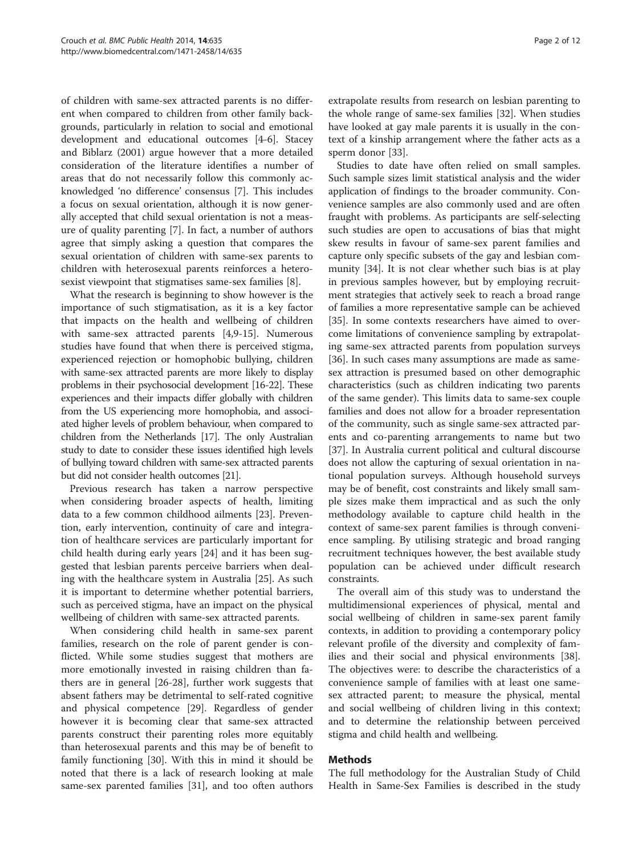of children with same-sex attracted parents is no different when compared to children from other family backgrounds, particularly in relation to social and emotional development and educational outcomes [[4-6](#page-10-0)]. Stacey and Biblarz (2001) argue however that a more detailed consideration of the literature identifies a number of areas that do not necessarily follow this commonly acknowledged 'no difference' consensus [\[7](#page-10-0)]. This includes a focus on sexual orientation, although it is now generally accepted that child sexual orientation is not a measure of quality parenting [\[7](#page-10-0)]. In fact, a number of authors agree that simply asking a question that compares the sexual orientation of children with same-sex parents to children with heterosexual parents reinforces a heterosexist viewpoint that stigmatises same-sex families [\[8\]](#page-10-0).

What the research is beginning to show however is the importance of such stigmatisation, as it is a key factor that impacts on the health and wellbeing of children with same-sex attracted parents [[4](#page-10-0),[9-15\]](#page-10-0). Numerous studies have found that when there is perceived stigma, experienced rejection or homophobic bullying, children with same-sex attracted parents are more likely to display problems in their psychosocial development [[16](#page-10-0)-[22\]](#page-10-0). These experiences and their impacts differ globally with children from the US experiencing more homophobia, and associated higher levels of problem behaviour, when compared to children from the Netherlands [\[17\]](#page-10-0). The only Australian study to date to consider these issues identified high levels of bullying toward children with same-sex attracted parents but did not consider health outcomes [\[21\]](#page-10-0).

Previous research has taken a narrow perspective when considering broader aspects of health, limiting data to a few common childhood ailments [\[23](#page-10-0)]. Prevention, early intervention, continuity of care and integration of healthcare services are particularly important for child health during early years [\[24](#page-10-0)] and it has been suggested that lesbian parents perceive barriers when dealing with the healthcare system in Australia [[25](#page-10-0)]. As such it is important to determine whether potential barriers, such as perceived stigma, have an impact on the physical wellbeing of children with same-sex attracted parents.

When considering child health in same-sex parent families, research on the role of parent gender is conflicted. While some studies suggest that mothers are more emotionally invested in raising children than fathers are in general [[26-28\]](#page-10-0), further work suggests that absent fathers may be detrimental to self-rated cognitive and physical competence [[29](#page-10-0)]. Regardless of gender however it is becoming clear that same-sex attracted parents construct their parenting roles more equitably than heterosexual parents and this may be of benefit to family functioning [[30\]](#page-10-0). With this in mind it should be noted that there is a lack of research looking at male same-sex parented families [[31](#page-10-0)], and too often authors

extrapolate results from research on lesbian parenting to the whole range of same-sex families [[32](#page-10-0)]. When studies have looked at gay male parents it is usually in the context of a kinship arrangement where the father acts as a sperm donor [[33](#page-10-0)].

Studies to date have often relied on small samples. Such sample sizes limit statistical analysis and the wider application of findings to the broader community. Convenience samples are also commonly used and are often fraught with problems. As participants are self-selecting such studies are open to accusations of bias that might skew results in favour of same-sex parent families and capture only specific subsets of the gay and lesbian community [[34\]](#page-10-0). It is not clear whether such bias is at play in previous samples however, but by employing recruitment strategies that actively seek to reach a broad range of families a more representative sample can be achieved [[35\]](#page-10-0). In some contexts researchers have aimed to overcome limitations of convenience sampling by extrapolating same-sex attracted parents from population surveys [[36\]](#page-10-0). In such cases many assumptions are made as samesex attraction is presumed based on other demographic characteristics (such as children indicating two parents of the same gender). This limits data to same-sex couple families and does not allow for a broader representation of the community, such as single same-sex attracted parents and co-parenting arrangements to name but two [[37\]](#page-10-0). In Australia current political and cultural discourse does not allow the capturing of sexual orientation in national population surveys. Although household surveys may be of benefit, cost constraints and likely small sample sizes make them impractical and as such the only methodology available to capture child health in the context of same-sex parent families is through convenience sampling. By utilising strategic and broad ranging recruitment techniques however, the best available study population can be achieved under difficult research constraints.

The overall aim of this study was to understand the multidimensional experiences of physical, mental and social wellbeing of children in same-sex parent family contexts, in addition to providing a contemporary policy relevant profile of the diversity and complexity of families and their social and physical environments [\[38](#page-10-0)]. The objectives were: to describe the characteristics of a convenience sample of families with at least one samesex attracted parent; to measure the physical, mental and social wellbeing of children living in this context; and to determine the relationship between perceived stigma and child health and wellbeing.

# Methods

The full methodology for the Australian Study of Child Health in Same-Sex Families is described in the study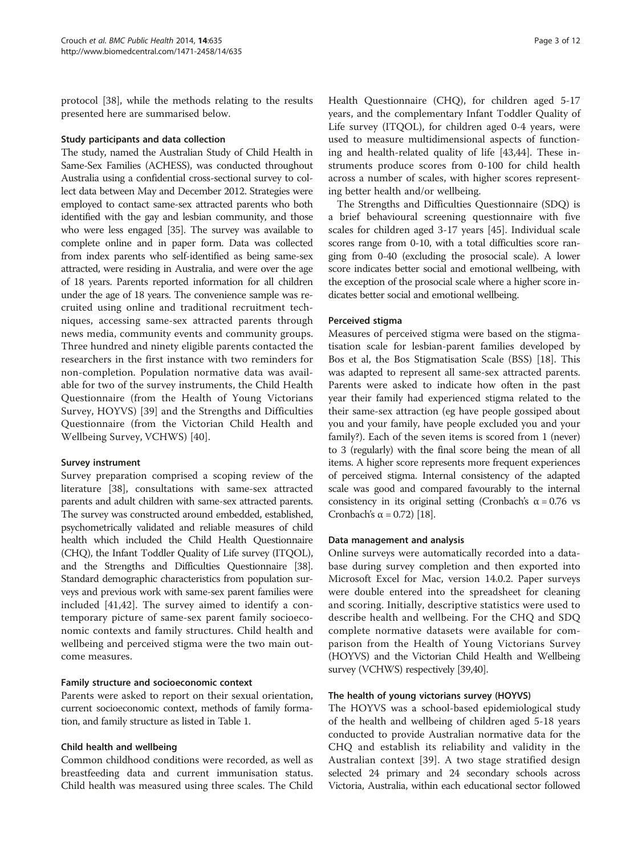protocol [\[38](#page-10-0)], while the methods relating to the results presented here are summarised below.

#### Study participants and data collection

The study, named the Australian Study of Child Health in Same-Sex Families (ACHESS), was conducted throughout Australia using a confidential cross-sectional survey to collect data between May and December 2012. Strategies were employed to contact same-sex attracted parents who both identified with the gay and lesbian community, and those who were less engaged [\[35](#page-10-0)]. The survey was available to complete online and in paper form. Data was collected from index parents who self-identified as being same-sex attracted, were residing in Australia, and were over the age of 18 years. Parents reported information for all children under the age of 18 years. The convenience sample was recruited using online and traditional recruitment techniques, accessing same-sex attracted parents through news media, community events and community groups. Three hundred and ninety eligible parents contacted the researchers in the first instance with two reminders for non-completion. Population normative data was available for two of the survey instruments, the Child Health Questionnaire (from the Health of Young Victorians Survey, HOYVS) [\[39](#page-10-0)] and the Strengths and Difficulties Questionnaire (from the Victorian Child Health and Wellbeing Survey, VCHWS) [[40\]](#page-10-0).

#### Survey instrument

Survey preparation comprised a scoping review of the literature [[38\]](#page-10-0), consultations with same-sex attracted parents and adult children with same-sex attracted parents. The survey was constructed around embedded, established, psychometrically validated and reliable measures of child health which included the Child Health Questionnaire (CHQ), the Infant Toddler Quality of Life survey (ITQOL), and the Strengths and Difficulties Questionnaire [\[38](#page-10-0)]. Standard demographic characteristics from population surveys and previous work with same-sex parent families were included [\[41,42](#page-10-0)]. The survey aimed to identify a contemporary picture of same-sex parent family socioeconomic contexts and family structures. Child health and wellbeing and perceived stigma were the two main outcome measures.

#### Family structure and socioeconomic context

Parents were asked to report on their sexual orientation, current socioeconomic context, methods of family formation, and family structure as listed in Table [1.](#page-3-0)

#### Child health and wellbeing

Common childhood conditions were recorded, as well as breastfeeding data and current immunisation status. Child health was measured using three scales. The Child Health Questionnaire (CHQ), for children aged 5-17 years, and the complementary Infant Toddler Quality of Life survey (ITQOL), for children aged 0-4 years, were used to measure multidimensional aspects of functioning and health-related quality of life [[43,](#page-10-0)[44\]](#page-11-0). These instruments produce scores from 0-100 for child health across a number of scales, with higher scores representing better health and/or wellbeing.

The Strengths and Difficulties Questionnaire (SDQ) is a brief behavioural screening questionnaire with five scales for children aged 3-17 years [[45\]](#page-11-0). Individual scale scores range from 0-10, with a total difficulties score ranging from 0-40 (excluding the prosocial scale). A lower score indicates better social and emotional wellbeing, with the exception of the prosocial scale where a higher score indicates better social and emotional wellbeing.

#### Perceived stigma

Measures of perceived stigma were based on the stigmatisation scale for lesbian-parent families developed by Bos et al, the Bos Stigmatisation Scale (BSS) [\[18](#page-10-0)]. This was adapted to represent all same-sex attracted parents. Parents were asked to indicate how often in the past year their family had experienced stigma related to the their same-sex attraction (eg have people gossiped about you and your family, have people excluded you and your family?). Each of the seven items is scored from 1 (never) to 3 (regularly) with the final score being the mean of all items. A higher score represents more frequent experiences of perceived stigma. Internal consistency of the adapted scale was good and compared favourably to the internal consistency in its original setting (Cronbach's  $\alpha = 0.76$  vs Cronbach's  $\alpha$  = 0.72) [[18](#page-10-0)].

#### Data management and analysis

Online surveys were automatically recorded into a database during survey completion and then exported into Microsoft Excel for Mac, version 14.0.2. Paper surveys were double entered into the spreadsheet for cleaning and scoring. Initially, descriptive statistics were used to describe health and wellbeing. For the CHQ and SDQ complete normative datasets were available for comparison from the Health of Young Victorians Survey (HOYVS) and the Victorian Child Health and Wellbeing survey (VCHWS) respectively [\[39,40](#page-10-0)].

#### The health of young victorians survey (HOYVS)

The HOYVS was a school-based epidemiological study of the health and wellbeing of children aged 5-18 years conducted to provide Australian normative data for the CHQ and establish its reliability and validity in the Australian context [\[39\]](#page-10-0). A two stage stratified design selected 24 primary and 24 secondary schools across Victoria, Australia, within each educational sector followed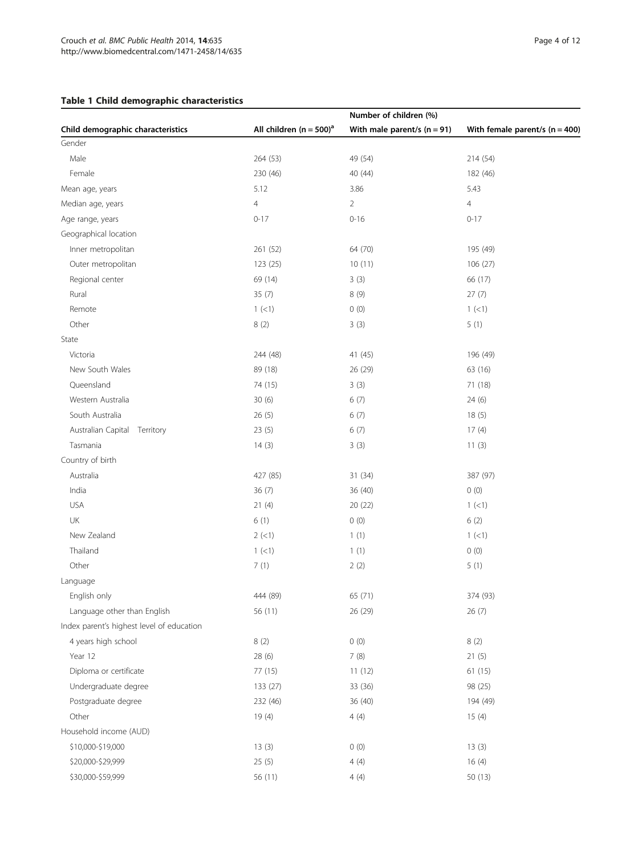# <span id="page-3-0"></span>Table 1 Child demographic characteristics

|                                           |                                     | Number of children (%)        |                                    |  |
|-------------------------------------------|-------------------------------------|-------------------------------|------------------------------------|--|
| Child demographic characteristics         | All children (n = 500) <sup>a</sup> | With male parent/s $(n = 91)$ | With female parent/s ( $n = 400$ ) |  |
| Gender                                    |                                     |                               |                                    |  |
| Male                                      | 264 (53)                            | 49 (54)                       | 214 (54)                           |  |
| Female                                    | 230 (46)                            | 40 (44)                       | 182 (46)                           |  |
| Mean age, years                           | 5.12                                | 3.86                          | 5.43                               |  |
| Median age, years                         | 4                                   | $\overline{2}$                | 4                                  |  |
| Age range, years                          | $0 - 17$                            | $0 - 16$                      | $0 - 17$                           |  |
| Geographical location                     |                                     |                               |                                    |  |
| Inner metropolitan                        | 261 (52)                            | 64 (70)                       | 195 (49)                           |  |
| Outer metropolitan                        | 123 (25)                            | 10(11)                        | 106(27)                            |  |
| Regional center                           | 69 (14)                             | 3(3)                          | 66 (17)                            |  |
| Rural                                     | 35(7)                               | 8(9)                          | 27(7)                              |  |
| Remote                                    | 1 (< 1)                             | 0(0)                          | 1 (< 1)                            |  |
| Other                                     | 8(2)                                | 3(3)                          | 5(1)                               |  |
| State                                     |                                     |                               |                                    |  |
| Victoria                                  | 244 (48)                            | 41 (45)                       | 196 (49)                           |  |
| New South Wales                           | 89 (18)                             | 26 (29)                       | 63 (16)                            |  |
| Queensland                                | 74 (15)                             | 3(3)                          | 71 (18)                            |  |
| Western Australia                         | 30(6)                               | 6(7)                          | 24(6)                              |  |
| South Australia                           | 26(5)                               | 6(7)                          | 18(5)                              |  |
| Australian Capital Territory              | 23(5)                               | 6(7)                          | 17(4)                              |  |
| Tasmania                                  | 14(3)                               | 3(3)                          | 11(3)                              |  |
| Country of birth                          |                                     |                               |                                    |  |
| Australia                                 | 427 (85)                            | 31(34)                        | 387 (97)                           |  |
| India                                     | 36(7)                               | 36 (40)                       | 0(0)                               |  |
| <b>USA</b>                                | 21(4)                               | 20 (22)                       | 1 (< 1)                            |  |
| UK                                        | 6(1)                                | 0(0)                          | 6(2)                               |  |
| New Zealand                               | $2$ (<1)                            | 1(1)                          | 1 (< 1)                            |  |
| Thailand                                  | 1 (< 1)                             | 1(1)                          | 0(0)                               |  |
| Other                                     | 7(1)                                | 2(2)                          | 5(1)                               |  |
| Language                                  |                                     |                               |                                    |  |
| English only                              | 444 (89)                            | 65 (71)                       | 374 (93)                           |  |
| Language other than English               | 56 (11)                             | 26 (29)                       | 26(7)                              |  |
| Index parent's highest level of education |                                     |                               |                                    |  |
| 4 years high school                       | 8(2)                                | 0(0)                          | 8(2)                               |  |
| Year 12                                   | 28 (6)                              | 7(8)                          | 21(5)                              |  |
| Diploma or certificate                    | 77 (15)                             | 11(12)                        | 61 (15)                            |  |
| Undergraduate degree                      | 133 (27)                            | 33 (36)                       | 98 (25)                            |  |
| Postgraduate degree                       | 232 (46)                            | 36 (40)                       | 194 (49)                           |  |
| Other                                     | 19(4)                               | 4(4)                          | 15(4)                              |  |
| Household income (AUD)                    |                                     |                               |                                    |  |
| \$10,000-\$19,000                         | 13(3)                               | 0(0)                          | 13(3)                              |  |
| \$20,000-\$29,999                         | 25(5)                               | 4(4)                          | 16(4)                              |  |
| \$30,000-\$59,999                         | 56 (11)                             | 4(4)                          | 50 (13)                            |  |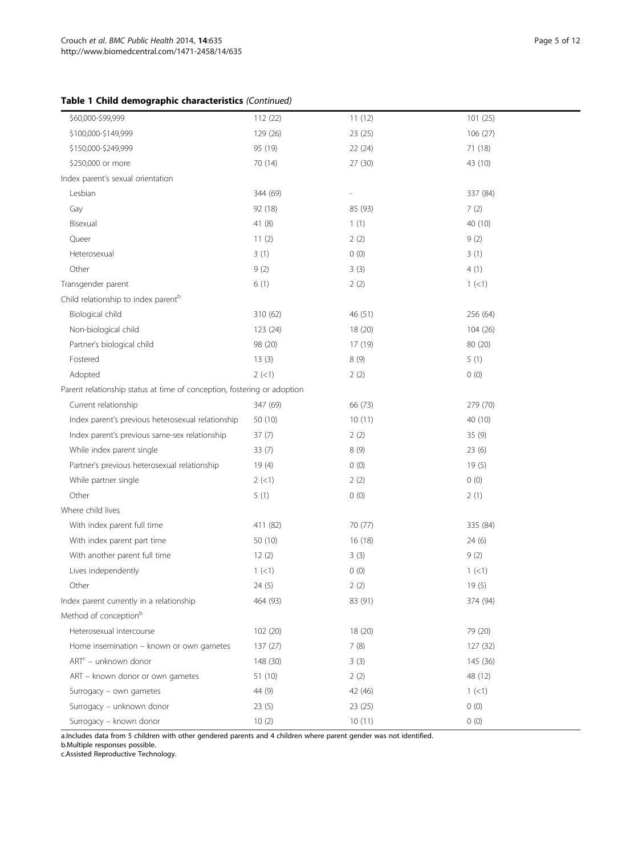# Table 1 Child demographic characteristics (Continued)

| \$60,000-\$99,999                                                       | 112 (22) | 11(12)  | 101(25)  |
|-------------------------------------------------------------------------|----------|---------|----------|
| \$100,000-\$149,999                                                     | 129 (26) | 23 (25) | 106 (27) |
| \$150,000-\$249,999                                                     | 95 (19)  | 22 (24) | 71 (18)  |
| \$250,000 or more                                                       | 70 (14)  | 27(30)  | 43 (10)  |
| Index parent's sexual orientation                                       |          |         |          |
| Lesbian                                                                 | 344 (69) |         | 337 (84) |
| Gay                                                                     | 92 (18)  | 85 (93) | 7(2)     |
| Bisexual                                                                | 41 (8)   | 1(1)    | 40 (10)  |
| Queer                                                                   | 11(2)    | 2(2)    | 9(2)     |
| Heterosexual                                                            | 3(1)     | 0(0)    | 3(1)     |
| Other                                                                   | 9(2)     | 3(3)    | 4(1)     |
| Transgender parent                                                      | 6(1)     | 2(2)    | 1 (< 1)  |
| Child relationship to index parent <sup>b</sup>                         |          |         |          |
| Biological child                                                        | 310 (62) | 46 (51) | 256 (64) |
| Non-biological child                                                    | 123 (24) | 18(20)  | 104 (26) |
| Partner's biological child                                              | 98 (20)  | 17 (19) | 80 (20)  |
| Fostered                                                                | 13(3)    | 8(9)    | 5(1)     |
| Adopted                                                                 | 2(<1)    | 2(2)    | 0(0)     |
| Parent relationship status at time of conception, fostering or adoption |          |         |          |
| Current relationship                                                    | 347 (69) | 66 (73) | 279 (70) |
| Index parent's previous heterosexual relationship                       | 50 (10)  | 10(11)  | 40 (10)  |
| Index parent's previous same-sex relationship                           | 37(7)    | 2(2)    | 35(9)    |
| While index parent single                                               | 33(7)    | 8(9)    | 23(6)    |
| Partner's previous heterosexual relationship                            | 19(4)    | 0(0)    | 19(5)    |
| While partner single                                                    | 2(<1)    | 2(2)    | 0(0)     |
| Other                                                                   | 5(1)     | 0(0)    | 2(1)     |
| Where child lives                                                       |          |         |          |
| With index parent full time                                             | 411 (82) | 70 (77) | 335 (84) |
| With index parent part time                                             | 50 (10)  | 16 (18) | 24(6)    |
| With another parent full time                                           | 12(2)    | 3(3)    | 9(2)     |
| Lives independently                                                     | 1 (< 1)  | 0(0)    | 1 (< 1)  |
| Other                                                                   | 24(5)    | 2(2)    | 19(5)    |
| Index parent currently in a relationship                                | 464 (93) | 83 (91) | 374 (94) |
| Method of conception <sup>b</sup>                                       |          |         |          |
| Heterosexual intercourse                                                | 102 (20) | 18 (20) | 79 (20)  |
| Home insemination - known or own gametes                                | 137 (27) | 7(8)    | 127(32)  |
| $ARTc$ – unknown donor                                                  | 148 (30) | 3(3)    | 145 (36) |
| ART - known donor or own gametes                                        | 51 (10)  | 2(2)    | 48 (12)  |
| Surrogacy - own gametes                                                 | 44 (9)   | 42 (46) | 1 (< 1)  |
| Surrogacy - unknown donor                                               | 23(5)    | 23 (25) | 0(0)     |
| Surrogacy - known donor                                                 | 10(2)    | 10(11)  | 0(0)     |

a.Includes data from 5 children with other gendered parents and 4 children where parent gender was not identified.

b.Multiple responses possible.

c.Assisted Reproductive Technology.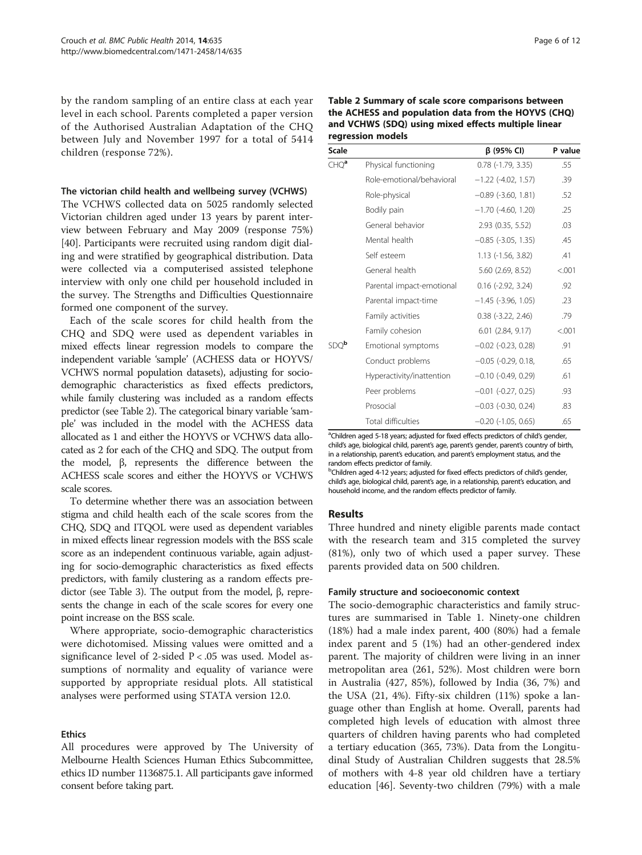<span id="page-5-0"></span>by the random sampling of an entire class at each year level in each school. Parents completed a paper version of the Authorised Australian Adaptation of the CHQ between July and November 1997 for a total of 5414 children (response 72%).

#### The victorian child health and wellbeing survey (VCHWS)

The VCHWS collected data on 5025 randomly selected Victorian children aged under 13 years by parent interview between February and May 2009 (response 75%) [[40\]](#page-10-0). Participants were recruited using random digit dialing and were stratified by geographical distribution. Data were collected via a computerised assisted telephone interview with only one child per household included in the survey. The Strengths and Difficulties Questionnaire formed one component of the survey.

Each of the scale scores for child health from the CHQ and SDQ were used as dependent variables in mixed effects linear regression models to compare the independent variable 'sample' (ACHESS data or HOYVS/ VCHWS normal population datasets), adjusting for sociodemographic characteristics as fixed effects predictors, while family clustering was included as a random effects predictor (see Table 2). The categorical binary variable 'sample' was included in the model with the ACHESS data allocated as 1 and either the HOYVS or VCHWS data allocated as 2 for each of the CHQ and SDQ. The output from the model, β, represents the difference between the ACHESS scale scores and either the HOYVS or VCHWS scale scores.

To determine whether there was an association between stigma and child health each of the scale scores from the CHQ, SDQ and ITQOL were used as dependent variables in mixed effects linear regression models with the BSS scale score as an independent continuous variable, again adjusting for socio-demographic characteristics as fixed effects predictors, with family clustering as a random effects predictor (see Table [3\)](#page-6-0). The output from the model, β, represents the change in each of the scale scores for every one point increase on the BSS scale.

Where appropriate, socio-demographic characteristics were dichotomised. Missing values were omitted and a significance level of 2-sided  $P < .05$  was used. Model assumptions of normality and equality of variance were supported by appropriate residual plots. All statistical analyses were performed using STATA version 12.0.

#### Ethics

All procedures were approved by The University of Melbourne Health Sciences Human Ethics Subcommittee, ethics ID number 1136875.1. All participants gave informed consent before taking part.

| Scale            |                           | $\beta$ (95% CI)             | P value |
|------------------|---------------------------|------------------------------|---------|
| CHQ <sup>a</sup> | Physical functioning      | $0.78$ ( $-1.79$ , $3.35$ )  | .55     |
|                  | Role-emotional/behavioral | $-1.22$ (-4.02, 1.57)        | .39     |
|                  | Role-physical             | $-0.89$ ( $-3.60$ , 1.81)    | .52     |
|                  | Bodily pain               | $-1.70$ (-4.60, 1.20)        | .25     |
|                  | General behavior          | 2.93 (0.35, 5.52)            | .03     |
|                  | Mental health             | $-0.85$ ( $-3.05$ , 1.35)    | .45     |
|                  | Self esteem               | $1.13$ ( $-1.56$ , $3.82$ )  | .41     |
|                  | General health            | 5.60 (2.69, 8.52)            | < 0.001 |
|                  | Parental impact-emotional | $0.16$ (-2.92, 3.24)         | .92     |
|                  | Parental impact-time      | $-1.45$ (-3.96, 1.05)        | .23     |
|                  | Family activities         | $0.38$ $(-3.22, 2.46)$       | .79     |
|                  | Family cohesion           | $6.01$ $(2.84, 9.17)$        | < .001  |
| SDQ <sup>b</sup> | Emotional symptoms        | $-0.02$ $(-0.23, 0.28)$      | .91     |
|                  | Conduct problems          | $-0.05$ ( $-0.29$ , 0.18,    | .65     |
|                  | Hyperactivity/inattention | $-0.10$ ( $-0.49$ , $0.29$ ) | .61     |
|                  | Peer problems             | $-0.01$ $(-0.27, 0.25)$      | .93     |
|                  | Prosocial                 | $-0.03$ $(-0.30, 0.24)$      | .83     |

<sup>a</sup>Children aged 5-18 years; adjusted for fixed effects predictors of child's gender, child's age, biological child, parent's age, parent's gender, parent's country of birth, in a relationship, parent's education, and parent's employment status, and the random effects predictor of family.

Total difficulties −0.20 (-1.05, 0.65) .65

<sup>b</sup>Children aged 4-12 years; adjusted for fixed effects predictors of child's gender, child's age, biological child, parent's age, in a relationship, parent's education, and household income, and the random effects predictor of family.

#### Results

Three hundred and ninety eligible parents made contact with the research team and 315 completed the survey (81%), only two of which used a paper survey. These parents provided data on 500 children.

### Family structure and socioeconomic context

The socio-demographic characteristics and family structures are summarised in Table [1.](#page-3-0) Ninety-one children (18%) had a male index parent, 400 (80%) had a female index parent and 5 (1%) had an other-gendered index parent. The majority of children were living in an inner metropolitan area (261, 52%). Most children were born in Australia (427, 85%), followed by India (36, 7%) and the USA (21, 4%). Fifty-six children (11%) spoke a language other than English at home. Overall, parents had completed high levels of education with almost three quarters of children having parents who had completed a tertiary education (365, 73%). Data from the Longitudinal Study of Australian Children suggests that 28.5% of mothers with 4-8 year old children have a tertiary education [[46\]](#page-11-0). Seventy-two children (79%) with a male

Table 2 Summary of scale score comparisons between the ACHESS and population data from the HOYVS (CHQ) and VCHWS (SDQ) using mixed effects multiple linear regression models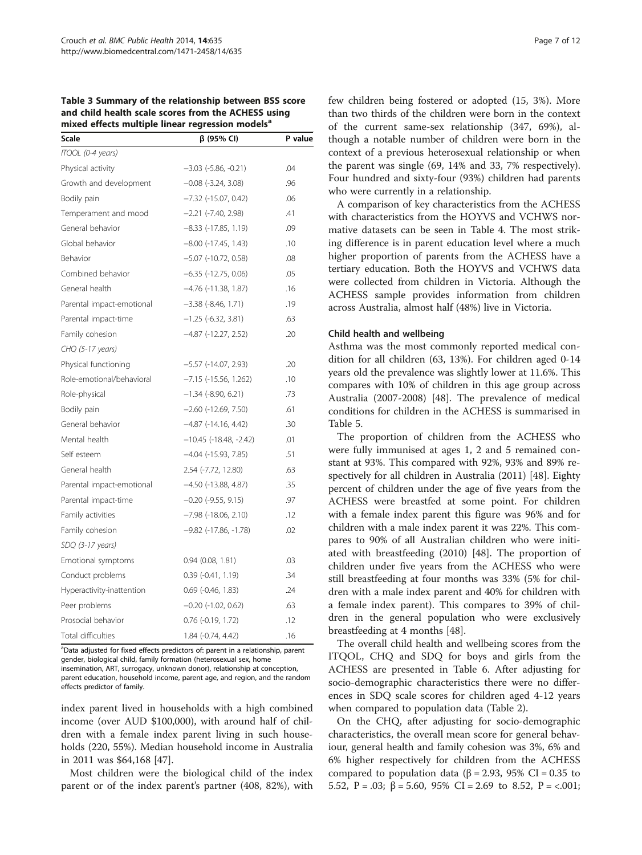<span id="page-6-0"></span>Table 3 Summary of the relationship between BSS score and child health scale scores from the ACHESS using miyed effects multiple linear regression models<sup>a</sup>

| Scale                     | $\beta$ (95% CI)              | P value |
|---------------------------|-------------------------------|---------|
| ITQOL (0-4 years)         |                               |         |
| Physical activity         | $-3.03$ ( $-5.86$ , $-0.21$ ) | .04     |
| Growth and development    | $-0.08$ ( $-3.24$ , $3.08$ )  | .96     |
| Bodily pain               | $-7.32$ (-15.07, 0.42)        | .06     |
| Temperament and mood      | $-2.21$ (-7.40, 2.98)         | .41     |
| General behavior          | $-8.33$ (-17.85, 1.19)        | .09     |
| Global behavior           | $-8.00$ (-17.45, 1.43)        | .10     |
| Behavior                  | $-5.07$ (-10.72, 0.58)        | .08     |
| Combined behavior         | $-6.35$ (-12.75, 0.06)        | .05     |
| General health            | $-4.76$ (-11.38, 1.87)        | .16     |
| Parental impact-emotional | $-3.38$ ( $-8.46$ , 1.71)     | .19     |
| Parental impact-time      | $-1.25$ (-6.32, 3.81)         | .63     |
| Family cohesion           | $-4.87$ (-12.27, 2.52)        | .20     |
| CHQ (5-17 years)          |                               |         |
| Physical functioning      | $-5.57$ (-14.07, 2.93)        | .20     |
| Role-emotional/behavioral | $-7.15$ (-15.56, 1.262)       | .10     |
| Role-physical             | $-1.34$ (-8.90, 6.21)         | .73     |
| Bodily pain               | $-2.60$ (-12.69, 7.50)        | .61     |
| General behavior          | $-4.87$ (-14.16, 4.42)        | .30     |
| Mental health             | $-10.45$ (-18.48, -2.42)      | .01     |
| Self esteem               | $-4.04$ (-15.93, 7.85)        | .51     |
| General health            | 2.54 (-7.72, 12.80)           | .63     |
| Parental impact-emotional | $-4.50$ (-13.88, 4.87)        | .35     |
| Parental impact-time      | $-0.20$ (-9.55, 9.15)         | .97     |
| Family activities         | $-7.98$ (-18.06, 2.10)        | .12     |
| Family cohesion           | $-9.82$ (-17.86, -1.78)       | .02     |
| SDQ (3-17 years)          |                               |         |
| Emotional symptoms        | 0.94(0.08, 1.81)              | .03     |
| Conduct problems          | $0.39$ ( $-0.41$ , $1.19$ )   | .34     |
| Hyperactivity-inattention | $0.69$ ( $-0.46$ , $1.83$ )   | .24     |
| Peer problems             | $-0.20$ (-1.02, 0.62)         | .63     |
| Prosocial behavior        | 0.76 (-0.19, 1.72)            | .12     |
| Total difficulties        | 1.84 (-0.74, 4.42)            | .16     |

<sup>a</sup>Data adjusted for fixed effects predictors of: parent in a relationship, parent gender, biological child, family formation (heterosexual sex, home

insemination, ART, surrogacy, unknown donor), relationship at conception, parent education, household income, parent age, and region, and the random effects predictor of family.

index parent lived in households with a high combined income (over AUD \$100,000), with around half of children with a female index parent living in such households (220, 55%). Median household income in Australia in 2011 was \$64,168 [[47\]](#page-11-0).

Most children were the biological child of the index parent or of the index parent's partner (408, 82%), with few children being fostered or adopted (15, 3%). More than two thirds of the children were born in the context of the current same-sex relationship (347, 69%), although a notable number of children were born in the context of a previous heterosexual relationship or when the parent was single (69, 14% and 33, 7% respectively). Four hundred and sixty-four (93%) children had parents who were currently in a relationship.

A comparison of key characteristics from the ACHESS with characteristics from the HOYVS and VCHWS normative datasets can be seen in Table [4](#page-7-0). The most striking difference is in parent education level where a much higher proportion of parents from the ACHESS have a tertiary education. Both the HOYVS and VCHWS data were collected from children in Victoria. Although the ACHESS sample provides information from children across Australia, almost half (48%) live in Victoria.

### Child health and wellbeing

Asthma was the most commonly reported medical condition for all children (63, 13%). For children aged 0-14 years old the prevalence was slightly lower at 11.6%. This compares with 10% of children in this age group across Australia (2007-2008) [[48\]](#page-11-0). The prevalence of medical conditions for children in the ACHESS is summarised in Table [5.](#page-7-0)

The proportion of children from the ACHESS who were fully immunised at ages 1, 2 and 5 remained constant at 93%. This compared with 92%, 93% and 89% respectively for all children in Australia (2011) [[48](#page-11-0)]. Eighty percent of children under the age of five years from the ACHESS were breastfed at some point. For children with a female index parent this figure was 96% and for children with a male index parent it was 22%. This compares to 90% of all Australian children who were initiated with breastfeeding (2010) [\[48](#page-11-0)]. The proportion of children under five years from the ACHESS who were still breastfeeding at four months was 33% (5% for children with a male index parent and 40% for children with a female index parent). This compares to 39% of children in the general population who were exclusively breastfeeding at 4 months [\[48](#page-11-0)].

The overall child health and wellbeing scores from the ITQOL, CHQ and SDQ for boys and girls from the ACHESS are presented in Table [6](#page-8-0). After adjusting for socio-demographic characteristics there were no differences in SDQ scale scores for children aged 4-12 years when compared to population data (Table [2\)](#page-5-0).

On the CHQ, after adjusting for socio-demographic characteristics, the overall mean score for general behaviour, general health and family cohesion was 3%, 6% and 6% higher respectively for children from the ACHESS compared to population data ( $β = 2.93$ , 95% CI = 0.35 to 5.52, P = .03;  $\beta$  = 5.60, 95% CI = 2.69 to 8.52, P = <.001;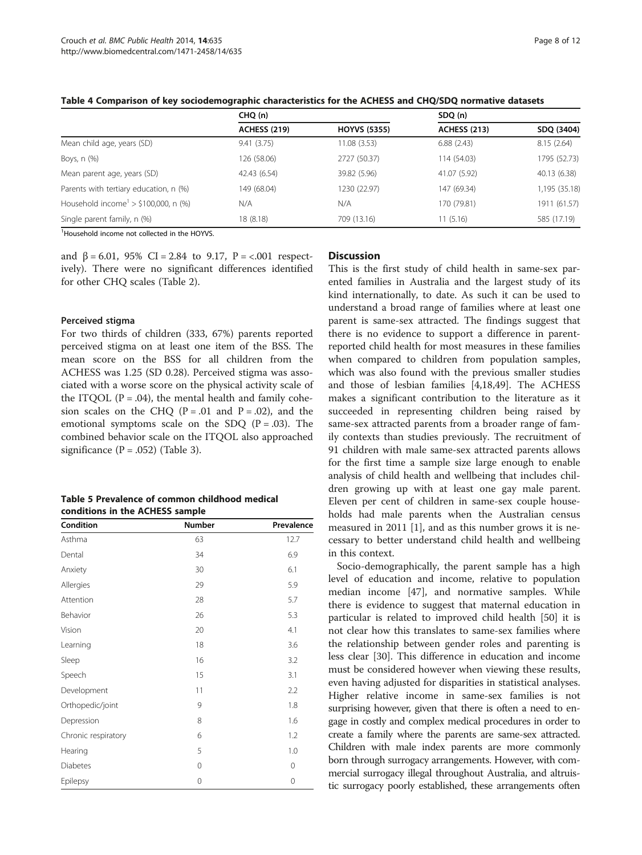<span id="page-7-0"></span>

| Table 4 Comparison of key sociodemographic characteristics for the ACHESS and CHQ/SDQ normative datasets |  |
|----------------------------------------------------------------------------------------------------------|--|
|----------------------------------------------------------------------------------------------------------|--|

|                                                  | CHQ (n)             |                     |                     | SDQ (n)       |  |
|--------------------------------------------------|---------------------|---------------------|---------------------|---------------|--|
|                                                  | <b>ACHESS (219)</b> | <b>HOYVS (5355)</b> | <b>ACHESS (213)</b> | SDQ (3404)    |  |
| Mean child age, years (SD)                       | 9.41(3.75)          | 11.08(3.53)         | 6.88(2.43)          | 8.15(2.64)    |  |
| Boys, n (%)                                      | 126 (58.06)         | 2727 (50.37)        | 114 (54.03)         | 1795 (52.73)  |  |
| Mean parent age, years (SD)                      | 42.43 (6.54)        | 39.82 (5.96)        | 41.07 (5.92)        | 40.13 (6.38)  |  |
| Parents with tertiary education, n (%)           | 149 (68.04)         | 1230 (22.97)        | 147 (69.34)         | 1,195 (35.18) |  |
| Household income <sup>1</sup> > \$100,000, n (%) | N/A                 | N/A                 | 170 (79.81)         | 1911 (61.57)  |  |
| Single parent family, n (%)                      | 18 (8.18)           | 709 (13.16)         | 11(5.16)            | 585 (17.19)   |  |

<sup>1</sup>Household income not collected in the HOYVS.

and  $\beta = 6.01$ , 95% CI = 2.84 to 9.17, P = <.001 respectively). There were no significant differences identified for other CHQ scales (Table [2](#page-5-0)).

#### Perceived stigma

For two thirds of children (333, 67%) parents reported perceived stigma on at least one item of the BSS. The mean score on the BSS for all children from the ACHESS was 1.25 (SD 0.28). Perceived stigma was associated with a worse score on the physical activity scale of the ITQOL  $(P = .04)$ , the mental health and family cohesion scales on the CHQ ( $P = .01$  and  $P = .02$ ), and the emotional symptoms scale on the SDQ  $(P = .03)$ . The combined behavior scale on the ITQOL also approached significance  $(P = .052)$  (Table [3\)](#page-6-0).

| Table 5 Prevalence of common childhood medical |
|------------------------------------------------|
| conditions in the ACHESS sample                |

| Condition           | <b>Number</b> | Prevalence |
|---------------------|---------------|------------|
| Asthma              | 63            | 12.7       |
| Dental              | 34            | 6.9        |
| Anxiety             | 30            | 6.1        |
| Allergies           | 29            | 5.9        |
| Attention           | 28            | 5.7        |
| Behavior            | 26            | 5.3        |
| Vision              | 20            | 4.1        |
| Learning            | 18            | 3.6        |
| Sleep               | 16            | 3.2        |
| Speech              | 15            | 3.1        |
| Development         | 11            | 2.2        |
| Orthopedic/joint    | 9             | 1.8        |
| Depression          | 8             | 1.6        |
| Chronic respiratory | 6             | 1.2        |
| Hearing             | 5             | 1.0        |
| <b>Diabetes</b>     | 0             | 0          |
| Epilepsy            | 0             | 0          |

# **Discussion**

This is the first study of child health in same-sex parented families in Australia and the largest study of its kind internationally, to date. As such it can be used to understand a broad range of families where at least one parent is same-sex attracted. The findings suggest that there is no evidence to support a difference in parentreported child health for most measures in these families when compared to children from population samples, which was also found with the previous smaller studies and those of lesbian families [\[4,18](#page-10-0)[,49](#page-11-0)]. The ACHESS makes a significant contribution to the literature as it succeeded in representing children being raised by same-sex attracted parents from a broader range of family contexts than studies previously. The recruitment of 91 children with male same-sex attracted parents allows for the first time a sample size large enough to enable analysis of child health and wellbeing that includes children growing up with at least one gay male parent. Eleven per cent of children in same-sex couple households had male parents when the Australian census measured in 2011 [\[1](#page-10-0)], and as this number grows it is necessary to better understand child health and wellbeing in this context.

Socio-demographically, the parent sample has a high level of education and income, relative to population median income [\[47](#page-11-0)], and normative samples. While there is evidence to suggest that maternal education in particular is related to improved child health [[50](#page-11-0)] it is not clear how this translates to same-sex families where the relationship between gender roles and parenting is less clear [\[30](#page-10-0)]. This difference in education and income must be considered however when viewing these results, even having adjusted for disparities in statistical analyses. Higher relative income in same-sex families is not surprising however, given that there is often a need to engage in costly and complex medical procedures in order to create a family where the parents are same-sex attracted. Children with male index parents are more commonly born through surrogacy arrangements. However, with commercial surrogacy illegal throughout Australia, and altruistic surrogacy poorly established, these arrangements often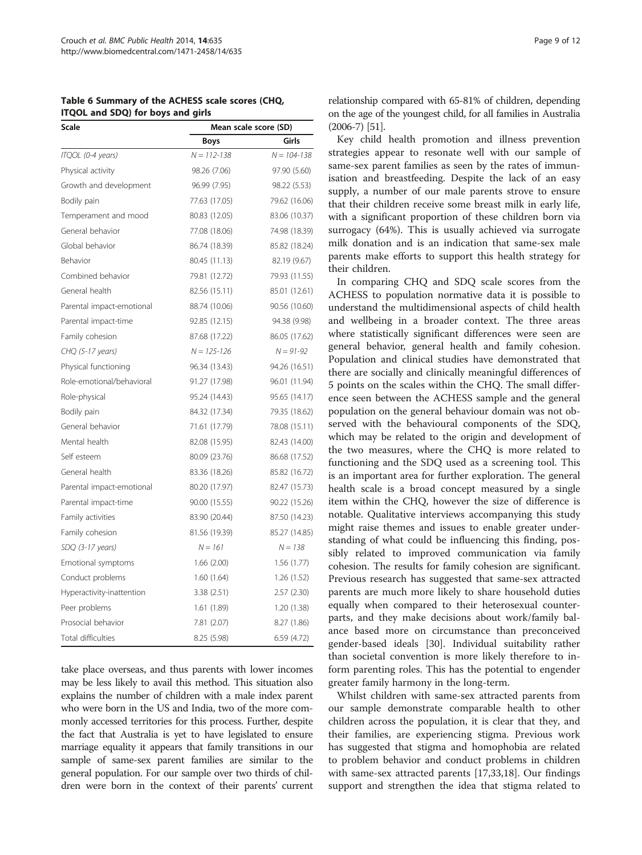<span id="page-8-0"></span>Table 6 Summary of the ACHESS scale scores (CHQ, ITQOL and SDQ) for boys and girls

| <b>Scale</b>              | Mean scale score (SD) |                 |  |
|---------------------------|-----------------------|-----------------|--|
|                           | <b>Boys</b>           | Girls           |  |
| ITQOL (0-4 years)         | $N = 112 - 138$       | $N = 104 - 138$ |  |
| Physical activity         | 98.26 (7.06)          | 97.90 (5.60)    |  |
| Growth and development    | 96.99 (7.95)          | 98.22 (5.53)    |  |
| Bodily pain               | 77.63 (17.05)         | 79.62 (16.06)   |  |
| Temperament and mood      | 80.83 (12.05)         | 83.06 (10.37)   |  |
| General behavior          | 77.08 (18.06)         | 74.98 (18.39)   |  |
| Global behavior           | 86.74 (18.39)         | 85.82 (18.24)   |  |
| Behavior                  | 80.45 (11.13)         | 82.19 (9.67)    |  |
| Combined behavior         | 79.81 (12.72)         | 79.93 (11.55)   |  |
| General health            | 82.56 (15.11)         | 85.01 (12.61)   |  |
| Parental impact-emotional | 88.74 (10.06)         | 90.56 (10.60)   |  |
| Parental impact-time      | 92.85 (12.15)         | 94.38 (9.98)    |  |
| Family cohesion           | 87.68 (17.22)         | 86.05 (17.62)   |  |
| CHQ (5-17 years)          | $N = 125 - 126$       | $N = 91 - 92$   |  |
| Physical functioning      | 96.34 (13.43)         | 94.26 (16.51)   |  |
| Role-emotional/behavioral | 91.27 (17.98)         | 96.01 (11.94)   |  |
| Role-physical             | 95.24 (14.43)         | 95.65 (14.17)   |  |
| Bodily pain               | 84.32 (17.34)         | 79.35 (18.62)   |  |
| General behavior          | 71.61 (17.79)         | 78.08 (15.11)   |  |
| Mental health             | 82.08 (15.95)         | 82.43 (14.00)   |  |
| Self esteem               | 80.09 (23.76)         | 86.68 (17.52)   |  |
| General health            | 83.36 (18.26)         | 85.82 (16.72)   |  |
| Parental impact-emotional | 80.20 (17.97)         | 82.47 (15.73)   |  |
| Parental impact-time      | 90.00 (15.55)         | 90.22 (15.26)   |  |
| Family activities         | 83.90 (20.44)         | 87.50 (14.23)   |  |
| Family cohesion           | 81.56 (19.39)         | 85.27 (14.85)   |  |
| SDQ (3-17 years)          | $N = 161$             | $N = 138$       |  |
| Emotional symptoms        | 1.66(2.00)            | 1.56(1.77)      |  |
| Conduct problems          | 1.60(1.64)            | 1.26(1.52)      |  |
| Hyperactivity-inattention | 3.38(2.51)            | 2.57 (2.30)     |  |
| Peer problems             | 1.61 (1.89)           | 1.20(1.38)      |  |
| Prosocial behavior        | 7.81 (2.07)           | 8.27 (1.86)     |  |
| Total difficulties        | 8.25 (5.98)           | 6.59(4.72)      |  |

take place overseas, and thus parents with lower incomes may be less likely to avail this method. This situation also explains the number of children with a male index parent who were born in the US and India, two of the more commonly accessed territories for this process. Further, despite the fact that Australia is yet to have legislated to ensure marriage equality it appears that family transitions in our sample of same-sex parent families are similar to the general population. For our sample over two thirds of children were born in the context of their parents' current relationship compared with 65-81% of children, depending on the age of the youngest child, for all families in Australia (2006-7) [\[51\]](#page-11-0).

Key child health promotion and illness prevention strategies appear to resonate well with our sample of same-sex parent families as seen by the rates of immunisation and breastfeeding. Despite the lack of an easy supply, a number of our male parents strove to ensure that their children receive some breast milk in early life, with a significant proportion of these children born via surrogacy (64%). This is usually achieved via surrogate milk donation and is an indication that same-sex male parents make efforts to support this health strategy for their children.

In comparing CHQ and SDQ scale scores from the ACHESS to population normative data it is possible to understand the multidimensional aspects of child health and wellbeing in a broader context. The three areas where statistically significant differences were seen are general behavior, general health and family cohesion. Population and clinical studies have demonstrated that there are socially and clinically meaningful differences of 5 points on the scales within the CHQ. The small difference seen between the ACHESS sample and the general population on the general behaviour domain was not observed with the behavioural components of the SDQ, which may be related to the origin and development of the two measures, where the CHQ is more related to functioning and the SDQ used as a screening tool. This is an important area for further exploration. The general health scale is a broad concept measured by a single item within the CHQ, however the size of difference is notable. Qualitative interviews accompanying this study might raise themes and issues to enable greater understanding of what could be influencing this finding, possibly related to improved communication via family cohesion. The results for family cohesion are significant. Previous research has suggested that same-sex attracted parents are much more likely to share household duties equally when compared to their heterosexual counterparts, and they make decisions about work/family balance based more on circumstance than preconceived gender-based ideals [\[30](#page-10-0)]. Individual suitability rather than societal convention is more likely therefore to inform parenting roles. This has the potential to engender greater family harmony in the long-term.

Whilst children with same-sex attracted parents from our sample demonstrate comparable health to other children across the population, it is clear that they, and their families, are experiencing stigma. Previous work has suggested that stigma and homophobia are related to problem behavior and conduct problems in children with same-sex attracted parents [\[17,33,18](#page-10-0)]. Our findings support and strengthen the idea that stigma related to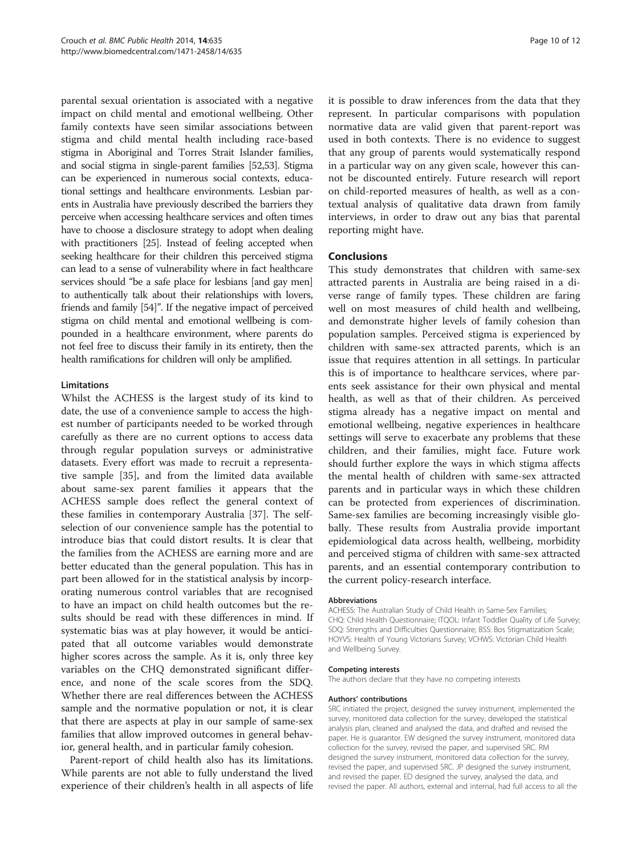parental sexual orientation is associated with a negative impact on child mental and emotional wellbeing. Other family contexts have seen similar associations between stigma and child mental health including race-based stigma in Aboriginal and Torres Strait Islander families, and social stigma in single-parent families [[52,53\]](#page-11-0). Stigma can be experienced in numerous social contexts, educational settings and healthcare environments. Lesbian parents in Australia have previously described the barriers they perceive when accessing healthcare services and often times have to choose a disclosure strategy to adopt when dealing with practitioners [\[25\]](#page-10-0). Instead of feeling accepted when seeking healthcare for their children this perceived stigma can lead to a sense of vulnerability where in fact healthcare services should "be a safe place for lesbians [and gay men] to authentically talk about their relationships with lovers, friends and family [\[54\]](#page-11-0)". If the negative impact of perceived stigma on child mental and emotional wellbeing is compounded in a healthcare environment, where parents do not feel free to discuss their family in its entirety, then the health ramifications for children will only be amplified.

### Limitations

Whilst the ACHESS is the largest study of its kind to date, the use of a convenience sample to access the highest number of participants needed to be worked through carefully as there are no current options to access data through regular population surveys or administrative datasets. Every effort was made to recruit a representative sample [[35\]](#page-10-0), and from the limited data available about same-sex parent families it appears that the ACHESS sample does reflect the general context of these families in contemporary Australia [\[37\]](#page-10-0). The selfselection of our convenience sample has the potential to introduce bias that could distort results. It is clear that the families from the ACHESS are earning more and are better educated than the general population. This has in part been allowed for in the statistical analysis by incorporating numerous control variables that are recognised to have an impact on child health outcomes but the results should be read with these differences in mind. If systematic bias was at play however, it would be anticipated that all outcome variables would demonstrate higher scores across the sample. As it is, only three key variables on the CHQ demonstrated significant difference, and none of the scale scores from the SDQ. Whether there are real differences between the ACHESS sample and the normative population or not, it is clear that there are aspects at play in our sample of same-sex families that allow improved outcomes in general behavior, general health, and in particular family cohesion.

Parent-report of child health also has its limitations. While parents are not able to fully understand the lived experience of their children's health in all aspects of life it is possible to draw inferences from the data that they represent. In particular comparisons with population normative data are valid given that parent-report was used in both contexts. There is no evidence to suggest that any group of parents would systematically respond in a particular way on any given scale, however this cannot be discounted entirely. Future research will report on child-reported measures of health, as well as a contextual analysis of qualitative data drawn from family interviews, in order to draw out any bias that parental reporting might have.

# **Conclusions**

This study demonstrates that children with same-sex attracted parents in Australia are being raised in a diverse range of family types. These children are faring well on most measures of child health and wellbeing, and demonstrate higher levels of family cohesion than population samples. Perceived stigma is experienced by children with same-sex attracted parents, which is an issue that requires attention in all settings. In particular this is of importance to healthcare services, where parents seek assistance for their own physical and mental health, as well as that of their children. As perceived stigma already has a negative impact on mental and emotional wellbeing, negative experiences in healthcare settings will serve to exacerbate any problems that these children, and their families, might face. Future work should further explore the ways in which stigma affects the mental health of children with same-sex attracted parents and in particular ways in which these children can be protected from experiences of discrimination. Same-sex families are becoming increasingly visible globally. These results from Australia provide important epidemiological data across health, wellbeing, morbidity and perceived stigma of children with same-sex attracted parents, and an essential contemporary contribution to the current policy-research interface.

#### Abbreviations

ACHESS: The Australian Study of Child Health in Same-Sex Families; CHQ: Child Health Questionnaire; ITQOL: Infant Toddler Quality of Life Survey; SDQ: Strengths and Difficulties Questionnaire; BSS: Bos Stigmatization Scale; HOYVS: Health of Young Victorians Survey; VCHWS: Victorian Child Health and Wellbeing Survey.

#### Competing interests

The authors declare that they have no competing interests

#### Authors' contributions

SRC initiated the project, designed the survey instrument, implemented the survey, monitored data collection for the survey, developed the statistical analysis plan, cleaned and analysed the data, and drafted and revised the paper. He is guarantor. EW designed the survey instrument, monitored data collection for the survey, revised the paper, and supervised SRC. RM designed the survey instrument, monitored data collection for the survey, revised the paper, and supervised SRC. JP designed the survey instrument, and revised the paper. ED designed the survey, analysed the data, and revised the paper. All authors, external and internal, had full access to all the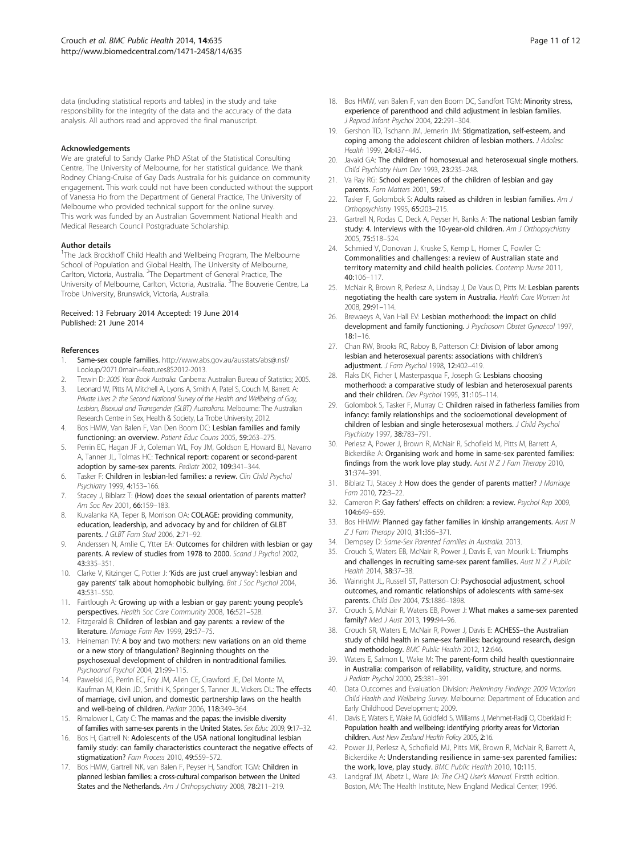<span id="page-10-0"></span>data (including statistical reports and tables) in the study and take responsibility for the integrity of the data and the accuracy of the data analysis. All authors read and approved the final manuscript.

#### Acknowledgements

We are grateful to Sandy Clarke PhD AStat of the Statistical Consulting Centre, The University of Melbourne, for her statistical guidance. We thank Rodney Chiang-Cruise of Gay Dads Australia for his guidance on community engagement. This work could not have been conducted without the support of Vanessa Ho from the Department of General Practice, The University of Melbourne who provided technical support for the online survey. This work was funded by an Australian Government National Health and Medical Research Council Postgraduate Scholarship.

#### Author details

<sup>1</sup>The Jack Brockhoff Child Health and Wellbeing Program, The Melbourne School of Population and Global Health, The University of Melbourne, Carlton, Victoria, Australia. <sup>2</sup>The Department of General Practice, The University of Melbourne, Carlton, Victoria, Australia. <sup>3</sup>The Bouverie Centre, La Trobe University, Brunswick, Victoria, Australia.

#### Received: 13 February 2014 Accepted: 19 June 2014 Published: 21 June 2014

#### References

- 1. Same-sex couple families. [http://www.abs.gov.au/ausstats/abs@.nsf/](http://www.abs.gov.au/ausstats/abs@.nsf/Lookup/2071.0main+features852012-2013) [Lookup/2071.0main+features852012-2013.](http://www.abs.gov.au/ausstats/abs@.nsf/Lookup/2071.0main+features852012-2013)
- Trewin D: 2005 Year Book Australia. Canberra: Australian Bureau of Statistics; 2005.
- 3. Leonard W, Pitts M, Mitchell A, Lyons A, Smith A, Patel S, Couch M, Barrett A: Private Lives 2: the Second National Survey of the Health and Wellbeing of Gay, Lesbian, Bisexual and Transgender (GLBT) Australians. Melbourne: The Australian Research Centre in Sex, Health & Society, La Trobe University; 2012.
- 4. Bos HMW, Van Balen F, Van Den Boom DC: Lesbian families and family functioning: an overview. Patient Educ Couns 2005, 59:263–275.
- 5. Perrin EC, Hagan JF Jr, Coleman WL, Foy JM, Goldson E, Howard BJ, Navarro A, Tanner JL, Tolmas HC: Technical report: coparent or second-parent adoption by same-sex parents. Pediatr 2002, 109:341-344.
- 6. Tasker F: Children in lesbian-led families: a review. Clin Child Psychol Psychiatry 1999, 4:153–166.
- Stacey J, Biblarz T: (How) does the sexual orientation of parents matter? Am Soc Rev 2001, 66:159–183.
- 8. Kuvalanka KA, Teper B, Morrison OA: COLAGE: providing community, education, leadership, and advocacy by and for children of GLBT parents. J GLBT Fam Stud 2006, 2:71–92.
- Anderssen N, Amlie C, Ytter EA: Outcomes for children with lesbian or gay parents. A review of studies from 1978 to 2000. Scand J Psychol 2002, 43:335–351.
- 10. Clarke V, Kitzinger C, Potter J: 'Kids are just cruel anyway': lesbian and gay parents' talk about homophobic bullying. Brit J Soc Psychol 2004, 43:531–550.
- 11. Fairtlough A: Growing up with a lesbian or gay parent: young people's perspectives. Health Soc Care Community 2008, 16:521–528.
- 12. Fitzgerald B: Children of lesbian and gay parents: a review of the literature. Marriage Fam Rev 1999, 29:57–75.
- 13. Heineman TV: A boy and two mothers: new variations on an old theme or a new story of triangulation? Beginning thoughts on the psychosexual development of children in nontraditional families. Psychoanal Psychol 2004, 21:99–115.
- 14. Pawelski JG, Perrin EC, Foy JM, Allen CE, Crawford JE, Del Monte M, Kaufman M, Klein JD, Smithi K, Springer S, Tanner JL, Vickers DL: The effects of marriage, civil union, and domestic partnership laws on the health and well-being of children. Pediatr 2006, 118:349-364.
- 15. Rimalower L, Caty C: The mamas and the papas: the invisible diversity of families with same-sex parents in the United States. Sex Educ 2009, 9:17–32.
- 16. Bos H, Gartrell N: Adolescents of the USA national longitudinal lesbian family study: can family characteristics counteract the negative effects of stigmatization? Fam Process 2010, 49:559-572.
- 17. Bos HMW, Gartrell NK, van Balen F, Peyser H, Sandfort TGM: Children in planned lesbian families: a cross-cultural comparison between the United States and the Netherlands. Am J Orthopsychiatry 2008, 78:211-219.
- 18. Bos HMW, van Balen F, van den Boom DC, Sandfort TGM: Minority stress, experience of parenthood and child adjustment in lesbian families. J Reprod Infant Psychol 2004, 22:291–304.
- 19. Gershon TD, Tschann JM, Jemerin JM: Stigmatization, self-esteem, and coping among the adolescent children of lesbian mothers. J Adolesc Health 1999, 24:437–445.
- 20. Javaid GA: The children of homosexual and heterosexual single mothers. Child Psychiatry Hum Dev 1993, 23:235–248.
- 21. Va Ray RG: School experiences of the children of lesbian and gay parents. Fam Matters 2001, 59:7.
- Tasker F, Golombok S: Adults raised as children in lesbian families. Am J Orthopsychiatry 1995, 65:203-215.
- 23. Gartrell N, Rodas C, Deck A, Peyser H, Banks A: The national Lesbian family study: 4. Interviews with the 10-year-old children. Am J Orthopsychiatry 2005, 75:518–524.
- 24. Schmied V, Donovan J, Kruske S, Kemp L, Homer C, Fowler C: Commonalities and challenges: a review of Australian state and territory maternity and child health policies. Contemp Nurse 2011,  $40.106 - 117$
- 25. McNair R, Brown R, Perlesz A, Lindsay J, De Vaus D, Pitts M: Lesbian parents negotiating the health care system in Australia. Health Care Women Int 2008, 29:91–114.
- 26. Brewaeys A, Van Hall EV: Lesbian motherhood: the impact on child development and family functioning. J Psychosom Obstet Gynaecol 1997, 18:1–16.
- 27. Chan RW, Brooks RC, Raboy B, Patterson CJ: Division of labor among lesbian and heterosexual parents: associations with children's adjustment. J Fam Psychol 1998, 12:402-419.
- Flaks DK, Ficher I, Masterpasqua F, Joseph G: Lesbians choosing motherhood: a comparative study of lesbian and heterosexual parents and their children. Dev Psychol 1995, 31:105-114.
- 29. Golombok S, Tasker F, Murray C: Children raised in fatherless families from infancy: family relationships and the socioemotional development of children of lesbian and single heterosexual mothers. J Child Psychol Psychiatry 1997, 38:783–791.
- 30. Perlesz A, Power J, Brown R, McNair R, Schofield M, Pitts M, Barrett A, Bickerdike A: Organising work and home in same-sex parented families: findings from the work love play study. Aust  $N Z J F a m$  Therapy 2010, 31:374–391.
- 31. Biblarz TJ, Stacey J: How does the gender of parents matter? J Marriage Fam 2010, 72:3–22.
- 32. Cameron P: Gay fathers' effects on children: a review. Psychol Rep 2009, 104:649–659.
- 33. Bos HHMW: Planned gay father families in kinship arrangements. Aust N Z J Fam Therapy 2010, 31:356–371.
- 34. Dempsey D: Same-Sex Parented Families in Australia. 2013.
- 35. Crouch S, Waters EB, McNair R, Power J, Davis E, van Mourik L: Triumphs and challenges in recruiting same-sex parent families. Aust  $N Z J$  Public Health 2014, 38:37–38.
- 36. Wainright JL, Russell ST, Patterson CJ: Psychosocial adjustment, school outcomes, and romantic relationships of adolescents with same-sex parents. Child Dev 2004, 75:1886–1898.
- 37. Crouch S, McNair R, Waters EB, Power J: What makes a same-sex parented family? Med J Aust 2013, 199:94-96.
- 38. Crouch SR, Waters E, McNair R, Power J, Davis E: ACHESS–the Australian study of child health in same-sex families: background research, design and methodology. BMC Public Health 2012, 12:646.
- 39. Waters E, Salmon L, Wake M: The parent-form child health questionnaire in Australia: comparison of reliability, validity, structure, and norms. J Pediatr Psychol 2000, 25:381–391.
- 40. Data Outcomes and Evaluation Division: Preliminary Findings: 2009 Victorian Child Health and Wellbeing Survey. Melbourne: Department of Education and Early Childhood Development; 2009.
- 41. Davis E, Waters E, Wake M, Goldfeld S, Williams J, Mehmet-Radji O, Oberklaid F: Population health and wellbeing: identifying priority areas for Victorian children. Aust New Zealand Health Policy 2005, 2:16.
- 42. Power JJ, Perlesz A, Schofield MJ, Pitts MK, Brown R, McNair R, Barrett A, Bickerdike A: Understanding resilience in same-sex parented families: the work, love, play study. BMC Public Health 2010, 10:115.
- 43. Landgraf JM, Abetz L, Ware JA: The CHQ User's Manual. Firstth edition. Boston, MA: The Health Institute, New England Medical Center; 1996.